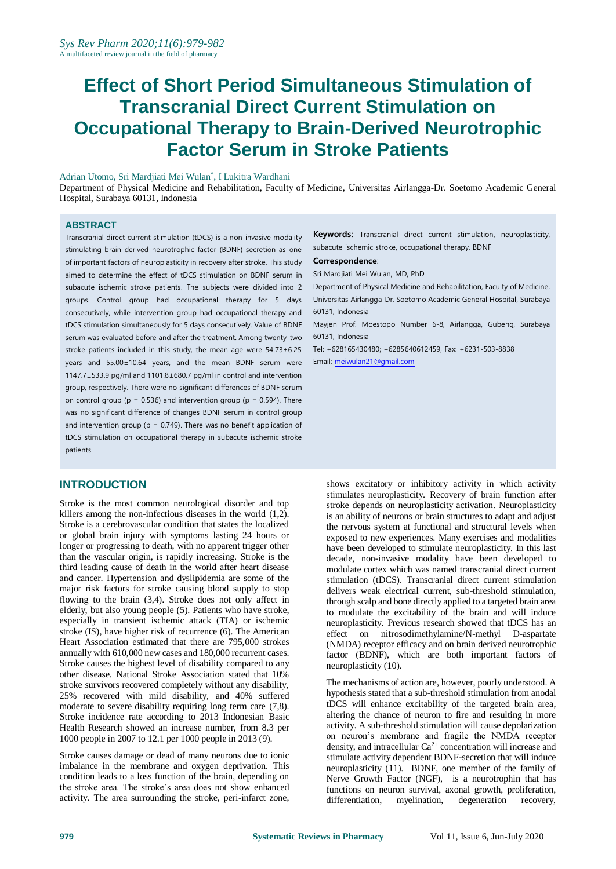# **Effect of Short Period Simultaneous Stimulation of Transcranial Direct Current Stimulation on Occupational Therapy to Brain-Derived Neurotrophic Factor Serum in Stroke Patients**

Adrian Utomo, Sri Mardjiati Mei Wulan\* , I Lukitra Wardhani

Department of Physical Medicine and Rehabilitation, Faculty of Medicine, Universitas Airlangga-Dr. Soetomo Academic General Hospital, Surabaya 60131, Indonesia

#### **ABSTRACT**

Transcranial direct current stimulation (tDCS) is a non-invasive modality stimulating brain-derived neurotrophic factor (BDNF) secretion as one of important factors of neuroplasticity in recovery after stroke. This study aimed to determine the effect of tDCS stimulation on BDNF serum in subacute ischemic stroke patients. The subjects were divided into 2 groups. Control group had occupational therapy for 5 days consecutively, while intervention group had occupational therapy and tDCS stimulation simultaneously for 5 days consecutively. Value of BDNF serum was evaluated before and after the treatment. Among twenty-two stroke patients included in this study, the mean age were 54.73±6.25 years and 55.00±10.64 years, and the mean BDNF serum were 1147.7±533.9 pg/ml and 1101.8±680.7 pg/ml in control and intervention group, respectively. There were no significant differences of BDNF serum on control group ( $p = 0.536$ ) and intervention group ( $p = 0.594$ ). There was no significant difference of changes BDNF serum in control group and intervention group ( $p = 0.749$ ). There was no benefit application of tDCS stimulation on occupational therapy in subacute ischemic stroke patients.

## **INTRODUCTION**

Stroke is the most common neurological disorder and top killers among the non-infectious diseases in the world (1,2). Stroke is a cerebrovascular condition that states the localized or global brain injury with symptoms lasting 24 hours or longer or progressing to death, with no apparent trigger other than the vascular origin, is rapidly increasing. Stroke is the third leading cause of death in the world after heart disease and cancer. Hypertension and dyslipidemia are some of the major risk factors for stroke causing blood supply to stop flowing to the brain (3,4). Stroke does not only affect in elderly, but also young people (5). Patients who have stroke, especially in transient ischemic attack (TIA) or ischemic stroke (IS), have higher risk of recurrence (6). The American Heart Association estimated that there are 795,000 strokes annually with 610,000 new cases and 180,000 recurrent cases. Stroke causes the highest level of disability compared to any other disease. National Stroke Association stated that 10% stroke survivors recovered completely without any disability, 25% recovered with mild disability, and 40% suffered moderate to severe disability requiring long term care (7,8). Stroke incidence rate according to 2013 Indonesian Basic Health Research showed an increase number, from 8.3 per 1000 people in 2007 to 12.1 per 1000 people in 2013 (9).

Stroke causes damage or dead of many neurons due to ionic imbalance in the membrane and oxygen deprivation. This condition leads to a loss function of the brain, depending on the stroke area. The stroke's area does not show enhanced activity. The area surrounding the stroke, peri-infarct zone,

**Keywords:** Transcranial direct current stimulation, neuroplasticity, subacute ischemic stroke, occupational therapy, BDNF

#### **Correspondence**:

Sri Mardjiati Mei Wulan, MD, PhD

Department of Physical Medicine and Rehabilitation, Faculty of Medicine, Universitas Airlangga-Dr. Soetomo Academic General Hospital, Surabaya 60131, Indonesia

Mayjen Prof. Moestopo Number 6-8, Airlangga, Gubeng, Surabaya 60131, Indonesia

Tel: +628165430480; +6285640612459, Fax: +6231-503-8838 Email: [meiwulan21@gmail.com](mailto:meiwulan21@gmail.com)

shows excitatory or inhibitory activity in which activity stimulates neuroplasticity. Recovery of brain function after stroke depends on neuroplasticity activation. Neuroplasticity is an ability of neurons or brain structures to adapt and adjust the nervous system at functional and structural levels when exposed to new experiences. Many exercises and modalities have been developed to stimulate neuroplasticity. In this last decade, non-invasive modality have been developed to modulate cortex which was named transcranial direct current stimulation (tDCS). Transcranial direct current stimulation delivers weak electrical current, sub-threshold stimulation, through scalp and bone directly applied to a targeted brain area to modulate the excitability of the brain and will induce neuroplasticity. Previous research showed that tDCS has an effect on nitrosodimethylamine/N-methyl D-aspartate (NMDA) receptor efficacy and on brain derived neurotrophic factor (BDNF), which are both important factors of neuroplasticity (10).

The mechanisms of action are, however, poorly understood. A hypothesis stated that a sub-threshold stimulation from anodal tDCS will enhance excitability of the targeted brain area, altering the chance of neuron to fire and resulting in more activity. A sub-threshold stimulation will cause depolarization on neuron's membrane and fragile the NMDA receptor density, and intracellular  $Ca^{2+}$  concentration will increase and stimulate activity dependent BDNF-secretion that will induce neuroplasticity (11). BDNF, one member of the family of Nerve Growth Factor (NGF), is a neurotrophin that has functions on neuron survival, axonal growth, proliferation, differentiation, myelination, degeneration recovery, differentiation, myelination, degeneration recovery,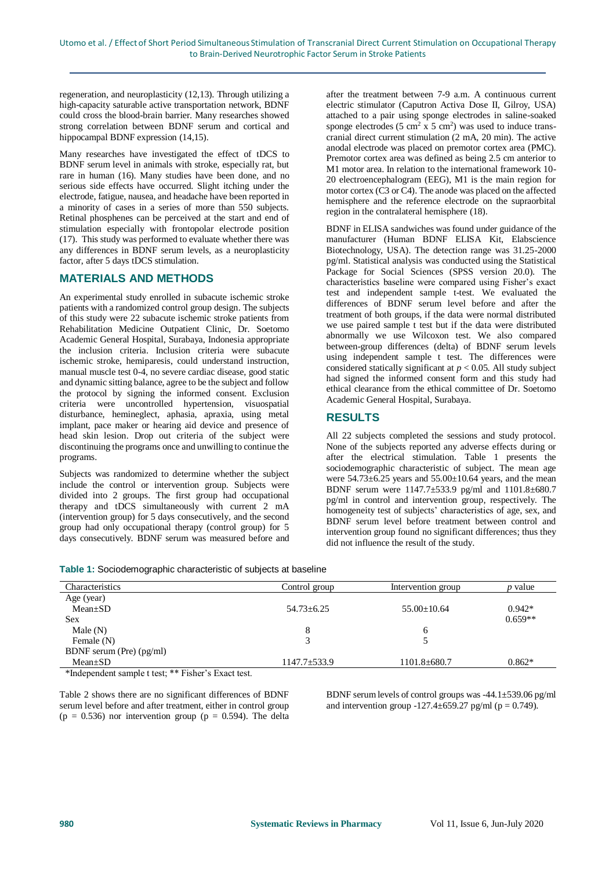regeneration, and neuroplasticity (12,13). Through utilizing a high-capacity saturable active transportation network, BDNF could cross the blood-brain barrier. Many researches showed strong correlation between BDNF serum and cortical and hippocampal BDNF expression (14,15).

Many researches have investigated the effect of tDCS to BDNF serum level in animals with stroke, especially rat, but rare in human (16). Many studies have been done, and no serious side effects have occurred. Slight itching under the electrode, fatigue, nausea, and headache have been reported in a minority of cases in a series of more than 550 subjects. Retinal phosphenes can be perceived at the start and end of stimulation especially with frontopolar electrode position (17). This study was performed to evaluate whether there was any differences in BDNF serum levels, as a neuroplasticity factor, after 5 days tDCS stimulation.

#### **MATERIALS AND METHODS**

An experimental study enrolled in subacute ischemic stroke patients with a randomized control group design. The subjects of this study were 22 subacute ischemic stroke patients from Rehabilitation Medicine Outpatient Clinic, Dr. Soetomo Academic General Hospital, Surabaya, Indonesia appropriate the inclusion criteria. Inclusion criteria were subacute ischemic stroke, hemiparesis, could understand instruction, manual muscle test 0-4, no severe cardiac disease, good static and dynamic sitting balance, agree to be the subject and follow the protocol by signing the informed consent. Exclusion criteria were uncontrolled hypertension, visuospatial disturbance, hemineglect, aphasia, apraxia, using metal implant, pace maker or hearing aid device and presence of head skin lesion. Drop out criteria of the subject were discontinuing the programs once and unwilling to continue the programs.

Subjects was randomized to determine whether the subject include the control or intervention group. Subjects were divided into 2 groups. The first group had occupational therapy and tDCS simultaneously with current 2 mA (intervention group) for 5 days consecutively, and the second group had only occupational therapy (control group) for 5 days consecutively. BDNF serum was measured before and after the treatment between 7-9 a.m. A continuous current electric stimulator (Caputron Activa Dose II, Gilroy, USA) attached to a pair using sponge electrodes in saline-soaked sponge electrodes  $(5 \text{ cm}^2 \text{ x } 5 \text{ cm}^2)$  was used to induce transcranial direct current stimulation (2 mA, 20 min). The active anodal electrode was placed on premotor cortex area (PMC). Premotor cortex area was defined as being 2.5 cm anterior to M1 motor area. In relation to the international framework 10- 20 electroencephalogram (EEG), M1 is the main region for motor cortex (C3 or C4). The anode was placed on the affected hemisphere and the reference electrode on the supraorbital region in the contralateral hemisphere (18).

BDNF in ELISA sandwiches was found under guidance of the manufacturer (Human BDNF ELISA Kit, Elabscience Biotechnology, USA). The detection range was 31.25-2000 pg/ml. Statistical analysis was conducted using the Statistical Package for Social Sciences (SPSS version 20.0). The characteristics baseline were compared using Fisher's exact test and independent sample t-test. We evaluated the differences of BDNF serum level before and after the treatment of both groups, if the data were normal distributed we use paired sample t test but if the data were distributed abnormally we use Wilcoxon test. We also compared between-group differences (delta) of BDNF serum levels using independent sample t test. The differences were considered statically significant at  $p < 0.05$ . All study subject had signed the informed consent form and this study had ethical clearance from the ethical committee of Dr. Soetomo Academic General Hospital, Surabaya.

# **RESULTS**

All 22 subjects completed the sessions and study protocol. None of the subjects reported any adverse effects during or after the electrical stimulation. Table 1 presents the sociodemographic characteristic of subject. The mean age were  $54.73\pm6.25$  years and  $55.00\pm10.64$  years, and the mean BDNF serum were 1147.7±533.9 pg/ml and 1101.8±680.7 pg/ml in control and intervention group, respectively. The homogeneity test of subjects' characteristics of age, sex, and BDNF serum level before treatment between control and intervention group found no significant differences; thus they did not influence the result of the study.

**Table 1:** Sociodemographic characteristic of subjects at baseline

| <b>Characteristics</b>   | Control group      | Intervention group | <i>p</i> value |
|--------------------------|--------------------|--------------------|----------------|
| Age (year)               |                    |                    |                |
| $Mean \pm SD$            | $54.73 + 6.25$     | $55.00 \pm 10.64$  | $0.942*$       |
| Sex                      |                    |                    | $0.659**$      |
| Male $(N)$               |                    | 6                  |                |
| Female (N)               |                    |                    |                |
| BDNF serum (Pre) (pg/ml) |                    |                    |                |
| $Mean \pm SD$            | $1147.7 \pm 533.9$ | $1101.8 \pm 680.7$ | $0.862*$       |

\*Independent sample t test; \*\* Fisher's Exact test.

Table 2 shows there are no significant differences of BDNF serum level before and after treatment, either in control group ( $p = 0.536$ ) nor intervention group ( $p = 0.594$ ). The delta BDNF serum levels of control groups was -44.1±539.06 pg/ml and intervention group  $-127.4 \pm 659.27$  pg/ml (p = 0.749).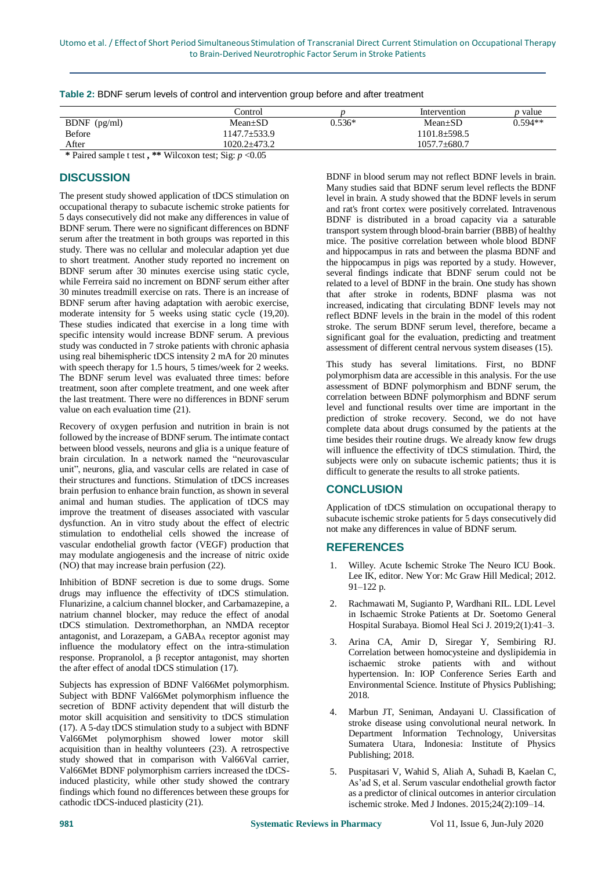|                | Control                          |          | Intervention     | <i>p</i> value |  |
|----------------|----------------------------------|----------|------------------|----------------|--|
| $BDNF$ (pg/ml) | $Mean+SD$                        | $0.536*$ | $Mean+SD$        | $0.594**$      |  |
| <b>Before</b>  | 1147.7±533.9<br>$1101.8 + 598.5$ |          |                  |                |  |
| After          | 1020.2±473.2                     |          | $1057.7 + 680.7$ |                |  |

| Table 2: BDNF serum levels of control and intervention group before and after treatment |  |  |  |  |
|-----------------------------------------------------------------------------------------|--|--|--|--|
|-----------------------------------------------------------------------------------------|--|--|--|--|

**\*** Paired sample t test **, \*\*** Wilcoxon test; Sig: *p* <0.05

# **DISCUSSION**

The present study showed application of tDCS stimulation on occupational therapy to subacute ischemic stroke patients for 5 days consecutively did not make any differences in value of BDNF serum. There were no significant differences on BDNF serum after the treatment in both groups was reported in this study. There was no cellular and molecular adaption yet due to short treatment. Another study reported no increment on BDNF serum after 30 minutes exercise using static cycle, while Ferreira said no increment on BDNF serum either after 30 minutes treadmill exercise on rats. There is an increase of BDNF serum after having adaptation with aerobic exercise, moderate intensity for 5 weeks using static cycle (19,20). These studies indicated that exercise in a long time with specific intensity would increase BDNF serum. A previous study was conducted in 7 stroke patients with chronic aphasia using real bihemispheric tDCS intensity 2 mA for 20 minutes with speech therapy for 1.5 hours, 5 times/week for 2 weeks. The BDNF serum level was evaluated three times: before treatment, soon after complete treatment, and one week after the last treatment. There were no differences in BDNF serum value on each evaluation time (21).

Recovery of oxygen perfusion and nutrition in brain is not followed by the increase of BDNF serum. The intimate contact between blood vessels, neurons and glia is a unique feature of brain circulation. In a network named the "neurovascular unit", neurons, glia, and vascular cells are related in case of their structures and functions. Stimulation of tDCS increases brain perfusion to enhance brain function, as shown in several animal and human studies. The application of tDCS may improve the treatment of diseases associated with vascular dysfunction. An in vitro study about the effect of electric stimulation to endothelial cells showed the increase of vascular endothelial growth factor (VEGF) production that may modulate angiogenesis and the increase of nitric oxide (NO) that may increase brain perfusion (22).

Inhibition of BDNF secretion is due to some drugs. Some drugs may influence the effectivity of tDCS stimulation. Flunarizine, a calcium channel blocker, and Carbamazepine, a natrium channel blocker, may reduce the effect of anodal tDCS stimulation. Dextromethorphan, an NMDA receptor antagonist, and Lorazepam, a GABAA receptor agonist may influence the modulatory effect on the intra-stimulation response. Propranolol, a β receptor antagonist, may shorten the after effect of anodal tDCS stimulation (17).

Subjects has expression of BDNF Val66Met polymorphism. Subject with BDNF Val66Met polymorphism influence the secretion of BDNF activity dependent that will disturb the motor skill acquisition and sensitivity to tDCS stimulation (17). A 5-day tDCS stimulation study to a subject with BDNF Val66Met polymorphism showed lower motor skill acquisition than in healthy volunteers (23). A retrospective study showed that in comparison with Val66Val carrier, Val66Met BDNF polymorphism carriers increased the tDCSinduced plasticity, while other study showed the contrary findings which found no differences between these groups for cathodic tDCS-induced plasticity (21).

BDNF in blood serum may not reflect BDNF levels in brain. Many studies said that BDNF serum level reflects the BDNF level in brain. A study showed that the BDNF levels in serum and rat's front cortex were positively correlated. Intravenous BDNF is distributed in a broad capacity via a saturable transport system through blood-brain barrier (BBB) of healthy mice. The positive correlation between whole blood BDNF and hippocampus in rats and between the plasma BDNF and the hippocampus in pigs was reported by a study. However, several findings indicate that BDNF serum could not be related to a level of BDNF in the brain. One study has shown that after stroke in rodents, BDNF plasma was not increased, indicating that circulating BDNF levels may not reflect BDNF levels in the brain in the model of this rodent stroke. The serum BDNF serum level, therefore, became a significant goal for the evaluation, predicting and treatment assessment of different central nervous system diseases (15).

This study has several limitations. First, no BDNF polymorphism data are accessible in this analysis. For the use assessment of BDNF polymorphism and BDNF serum, the correlation between BDNF polymorphism and BDNF serum level and functional results over time are important in the prediction of stroke recovery. Second, we do not have complete data about drugs consumed by the patients at the time besides their routine drugs. We already know few drugs will influence the effectivity of tDCS stimulation. Third, the subjects were only on subacute ischemic patients; thus it is difficult to generate the results to all stroke patients.

# **CONCLUSION**

Application of tDCS stimulation on occupational therapy to subacute ischemic stroke patients for 5 days consecutively did not make any differences in value of BDNF serum.

## **REFERENCES**

- 1. Willey. Acute Ischemic Stroke The Neuro ICU Book. Lee IK, editor. New Yor: Mc Graw Hill Medical; 2012. 91–122 p.
- 2. Rachmawati M, Sugianto P, Wardhani RIL. LDL Level in Ischaemic Stroke Patients at Dr. Soetomo General Hospital Surabaya. Biomol Heal Sci J. 2019;2(1):41–3.
- 3. Arina CA, Amir D, Siregar Y, Sembiring RJ. Correlation between homocysteine and dyslipidemia in ischaemic stroke patients with and without hypertension. In: IOP Conference Series Earth and Environmental Science. Institute of Physics Publishing; 2018.
- 4. Marbun JT, Seniman, Andayani U. Classification of stroke disease using convolutional neural network. In Department Information Technology, Universitas Sumatera Utara, Indonesia: Institute of Physics Publishing; 2018.
- 5. Puspitasari V, Wahid S, Aliah A, Suhadi B, Kaelan C, As'ad S, et al. Serum vascular endothelial growth factor as a predictor of clinical outcomes in anterior circulation ischemic stroke. Med J Indones. 2015;24(2):109–14.